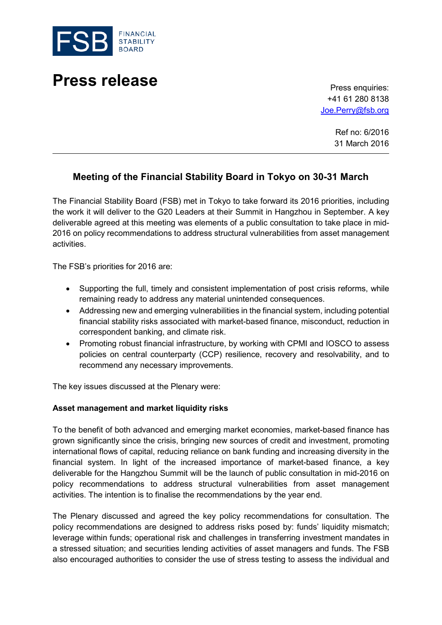

# **Press release** Press enquiries:

+41 61 280 8138 [Joe.Perry@fsb.org](mailto:Joe.Perry@fsb.org)

> Ref no: 6/2016 31 March 2016

# **Meeting of the Financial Stability Board in Tokyo on 30-31 March**

The Financial Stability Board (FSB) met in Tokyo to take forward its 2016 priorities, including the work it will deliver to the G20 Leaders at their Summit in Hangzhou in September. A key deliverable agreed at this meeting was elements of a public consultation to take place in mid-2016 on policy recommendations to address structural vulnerabilities from asset management activities.

The FSB's priorities for 2016 are:

- Supporting the full, timely and consistent implementation of post crisis reforms, while remaining ready to address any material unintended consequences.
- Addressing new and emerging vulnerabilities in the financial system, including potential financial stability risks associated with market-based finance, misconduct, reduction in correspondent banking, and climate risk.
- Promoting robust financial infrastructure, by working with CPMI and IOSCO to assess policies on central counterparty (CCP) resilience, recovery and resolvability, and to recommend any necessary improvements.

The key issues discussed at the Plenary were:

#### **Asset management and market liquidity risks**

To the benefit of both advanced and emerging market economies, market-based finance has grown significantly since the crisis, bringing new sources of credit and investment, promoting international flows of capital, reducing reliance on bank funding and increasing diversity in the financial system. In light of the increased importance of market-based finance, a key deliverable for the Hangzhou Summit will be the launch of public consultation in mid-2016 on policy recommendations to address structural vulnerabilities from asset management activities. The intention is to finalise the recommendations by the year end.

The Plenary discussed and agreed the key policy recommendations for consultation. The policy recommendations are designed to address risks posed by: funds' liquidity mismatch; leverage within funds; operational risk and challenges in transferring investment mandates in a stressed situation; and securities lending activities of asset managers and funds. The FSB also encouraged authorities to consider the use of stress testing to assess the individual and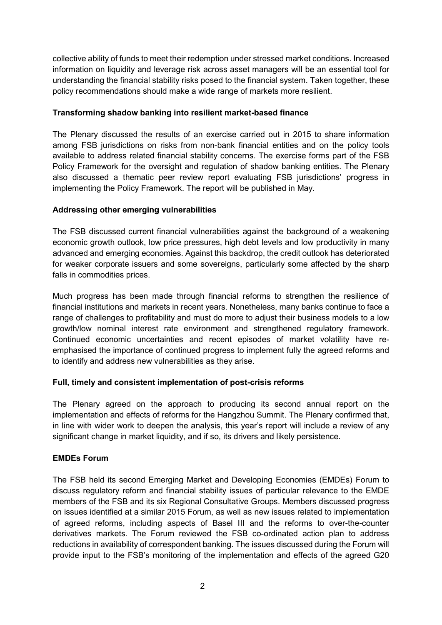collective ability of funds to meet their redemption under stressed market conditions. Increased information on liquidity and leverage risk across asset managers will be an essential tool for understanding the financial stability risks posed to the financial system. Taken together, these policy recommendations should make a wide range of markets more resilient.

#### **Transforming shadow banking into resilient market-based finance**

The Plenary discussed the results of an exercise carried out in 2015 to share information among FSB jurisdictions on risks from non-bank financial entities and on the policy tools available to address related financial stability concerns. The exercise forms part of the FSB Policy Framework for the oversight and regulation of shadow banking entities. The Plenary also discussed a thematic peer review report evaluating FSB jurisdictions' progress in implementing the Policy Framework. The report will be published in May.

#### **Addressing other emerging vulnerabilities**

The FSB discussed current financial vulnerabilities against the background of a weakening economic growth outlook, low price pressures, high debt levels and low productivity in many advanced and emerging economies. Against this backdrop, the credit outlook has deteriorated for weaker corporate issuers and some sovereigns, particularly some affected by the sharp falls in commodities prices.

Much progress has been made through financial reforms to strengthen the resilience of financial institutions and markets in recent years. Nonetheless, many banks continue to face a range of challenges to profitability and must do more to adjust their business models to a low growth/low nominal interest rate environment and strengthened regulatory framework. Continued economic uncertainties and recent episodes of market volatility have reemphasised the importance of continued progress to implement fully the agreed reforms and to identify and address new vulnerabilities as they arise.

### **Full, timely and consistent implementation of post-crisis reforms**

The Plenary agreed on the approach to producing its second annual report on the implementation and effects of reforms for the Hangzhou Summit. The Plenary confirmed that, in line with wider work to deepen the analysis, this year's report will include a review of any significant change in market liquidity, and if so, its drivers and likely persistence.

### **EMDEs Forum**

The FSB held its second Emerging Market and Developing Economies (EMDEs) Forum to discuss regulatory reform and financial stability issues of particular relevance to the EMDE members of the FSB and its six Regional Consultative Groups. Members discussed progress on issues identified at a similar 2015 Forum, as well as new issues related to implementation of agreed reforms, including aspects of Basel III and the reforms to over-the-counter derivatives markets. The Forum reviewed the FSB co-ordinated action plan to address reductions in availability of correspondent banking. The issues discussed during the Forum will provide input to the FSB's monitoring of the implementation and effects of the agreed G20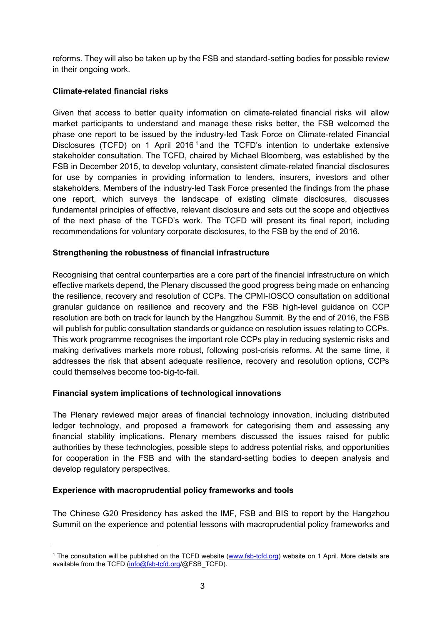reforms. They will also be taken up by the FSB and standard-setting bodies for possible review in their ongoing work.

### **Climate-related financial risks**

Given that access to better quality information on climate-related financial risks will allow market participants to understand and manage these risks better, the FSB welcomed the phase one report to be issued by the industry-led Task Force on Climate-related Financial Disclosures (TCFD) on [1](#page-2-0) April 2016<sup>1</sup> and the TCFD's intention to undertake extensive stakeholder consultation. The TCFD, chaired by Michael Bloomberg, was established by the FSB in December 2015, to develop voluntary, consistent climate-related financial disclosures for use by companies in providing information to lenders, insurers, investors and other stakeholders. Members of the industry-led Task Force presented the findings from the phase one report, which surveys the landscape of existing climate disclosures, discusses fundamental principles of effective, relevant disclosure and sets out the scope and objectives of the next phase of the TCFD's work. The TCFD will present its final report, including recommendations for voluntary corporate disclosures, to the FSB by the end of 2016.

### **Strengthening the robustness of financial infrastructure**

Recognising that central counterparties are a core part of the financial infrastructure on which effective markets depend, the Plenary discussed the good progress being made on enhancing the resilience, recovery and resolution of CCPs. The CPMI-IOSCO consultation on additional granular guidance on resilience and recovery and the FSB high-level guidance on CCP resolution are both on track for launch by the Hangzhou Summit. By the end of 2016, the FSB will publish for public consultation standards or guidance on resolution issues relating to CCPs. This work programme recognises the important role CCPs play in reducing systemic risks and making derivatives markets more robust, following post-crisis reforms. At the same time, it addresses the risk that absent adequate resilience, recovery and resolution options, CCPs could themselves become too-big-to-fail.

### **Financial system implications of technological innovations**

The Plenary reviewed major areas of financial technology innovation, including distributed ledger technology, and proposed a framework for categorising them and assessing any financial stability implications. Plenary members discussed the issues raised for public authorities by these technologies, possible steps to address potential risks, and opportunities for cooperation in the FSB and with the standard-setting bodies to deepen analysis and develop regulatory perspectives.

### **Experience with macroprudential policy frameworks and tools**

-

The Chinese G20 Presidency has asked the IMF, FSB and BIS to report by the Hangzhou Summit on the experience and potential lessons with macroprudential policy frameworks and

<span id="page-2-0"></span><sup>&</sup>lt;sup>1</sup> The consultation will be published on the TCFD website [\(www.fsb-tcfd.org\)](http://www.fsb-tcfd.org/) website on 1 April. More details are available from the TCFD [\(info@fsb-tcfd.org/](mailto:info@fsb-tcfd.org)@FSB\_TCFD).